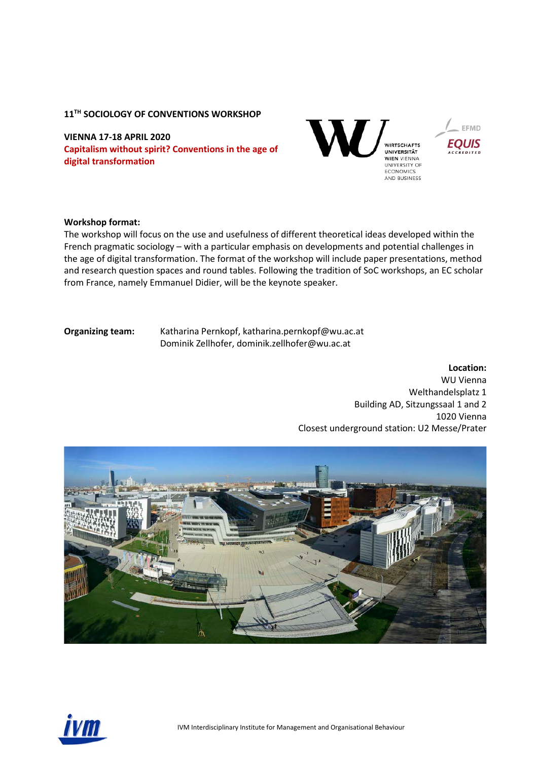#### **11TH SOCIOLOGY OF CONVENTIONS WORKSHOP**

**VIENNA 17-18 APRIL 2020 Capitalism without spirit? Conventions in the age of digital transformation**



#### **Workshop format:**

The workshop will focus on the use and usefulness of different theoretical ideas developed within the French pragmatic sociology – with a particular emphasis on developments and potential challenges in the age of digital transformation. The format of the workshop will include paper presentations, method and research question spaces and round tables. Following the tradition of SoC workshops, an EC scholar from France, namely Emmanuel Didier, will be the keynote speaker.

**Organizing team:** Katharina Pernkopf, [katharina.pernkopf@wu.ac.at](mailto:katharina.pernkopf@wu.ac.at)  Dominik Zellhofer, [dominik.zellhofer@wu.ac.at](mailto:dominik.zellhofer@wu.ac.at) 

**Location:**

WU Vienna Welthandelsplatz 1 Building AD, Sitzungssaal 1 and 2 1020 Vienna Closest underground station: U2 Messe/Prater



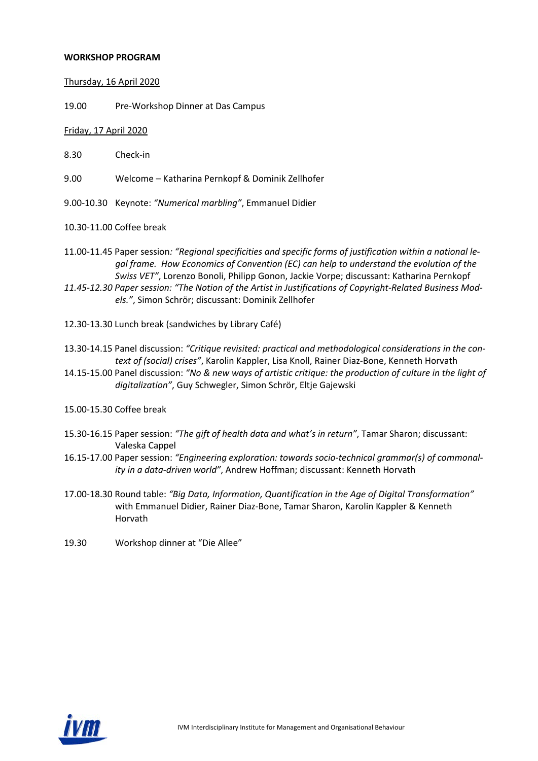#### **WORKSHOP PROGRAM**

#### Thursday, 16 April 2020

19.00 Pre-Workshop Dinner at Das Campus

### Friday, 17 April 2020

- 8.30 Check-in
- 9.00 Welcome Katharina Pernkopf & Dominik Zellhofer
- 9.00-10.30 Keynote: *"Numerical marbling"*, Emmanuel Didier
- 10.30-11.00 Coffee break
- 11.00-11.45 Paper session*: "Regional specificities and specific forms of justification within a national legal frame. How Economics of Convention (EC) can help to understand the evolution of the Swiss VET"*, Lorenzo Bonoli, Philipp Gonon, Jackie Vorpe; discussant: Katharina Pernkopf
- *11.45-12.30 Paper session: "The Notion of the Artist in Justifications of Copyright-Related Business Models."*, Simon Schrör; discussant: Dominik Zellhofer
- 12.30-13.30 Lunch break (sandwiches by Library Café)
- 13.30-14.15 Panel discussion: *"Critique revisited: practical and methodological considerations in the context of (social) crises"*, Karolin Kappler, Lisa Knoll, Rainer Diaz-Bone, Kenneth Horvath
- 14.15-15.00 Panel discussion: *"No & new ways of artistic critique: the production of culture in the light of digitalization"*, Guy Schwegler, Simon Schrör, Eltje Gajewski
- 15.00-15.30 Coffee break
- 15.30-16.15 Paper session: *"The gift of health data and what's in return"*, Tamar Sharon; discussant: Valeska Cappel
- 16.15-17.00 Paper session: *"Engineering exploration: towards socio-technical grammar(s) of commonality in a data-driven world"*, Andrew Hoffman; discussant: Kenneth Horvath
- 17.00-18.30 Round table: *"Big Data, Information, Quantification in the Age of Digital Transformation"* with Emmanuel Didier, Rainer Diaz-Bone, Tamar Sharon, Karolin Kappler & Kenneth Horvath
- 19.30 Workshop dinner at "Die Allee"

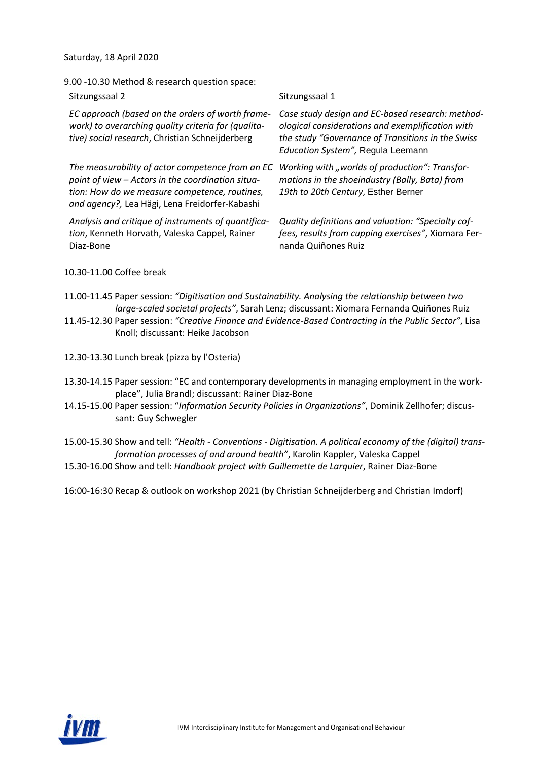### Saturday, 18 April 2020

9.00 -10.30 Method & research question space:

| Sitzungssaal 2                                                                                                                                                                                           | Sitzungssaal 1                                                             |
|----------------------------------------------------------------------------------------------------------------------------------------------------------------------------------------------------------|----------------------------------------------------------------------------|
| EC approach (based on the orders of worth frame-<br>work) to overarching quality criteria for (qualita-<br>tive) social research, Christian Schneijderberg                                               | Case study de.<br>ological consid<br>the study "Go<br><b>Education Sys</b> |
| The measurability of actor competence from an EC<br>point of view - Actors in the coordination situa-<br>tion: How do we measure competence, routines,<br>and agency?, Lea Hägi, Lena Freidorfer-Kabashi | Working with<br>mations in the<br>19th to 20th (                           |
| Analysis and critique of instruments of quantifica-<br>tion, Kenneth Horvath, Valeska Cappel, Rainer<br>Diaz-Bone                                                                                        | Quality definit<br>fees, results fr<br>nanda Quiñor                        |

*Case study design and EC-based research: methodological considerations and exemplification with the study "Governance of Transitions in the Swiss Education System",* Regula Leemann

*Working with "worlds of production": Transformations in the shoeindustry (Bally, Bata) from 2 Century, Esther Berner* 

itions and valuation: "Specialty cof*fees, results from cupping exercises"*, Xiomara Fernanda Quiñones Ruiz

10.30-11.00 Coffee break

- 11.00-11.45 Paper session: *"Digitisation and Sustainability. Analysing the relationship between two large-scaled societal projects"*, Sarah Lenz; discussant: Xiomara Fernanda Quiñones Ruiz
- 11.45-12.30 Paper session: *"Creative Finance and Evidence-Based Contracting in the Public Sector"*, Lisa Knoll; discussant: Heike Jacobson

12.30-13.30 Lunch break (pizza by l'Osteria)

- 13.30-14.15 Paper session: "EC and contemporary developments in managing employment in the workplace", Julia Brandl; discussant: Rainer Diaz-Bone
- 14.15-15.00 Paper session: "*Information Security Policies in Organizations"*, Dominik Zellhofer; discussant: Guy Schwegler
- 15.00-15.30 Show and tell: *"Health - Conventions - Digitisation. A political economy of the (digital) transformation processes of and around health"*, Karolin Kappler, Valeska Cappel
- 15.30-16.00 Show and tell: *Handbook project with Guillemette de Larquier*, Rainer Diaz-Bone

16:00-16:30 Recap & outlook on workshop 2021 (by Christian Schneijderberg and Christian Imdorf)

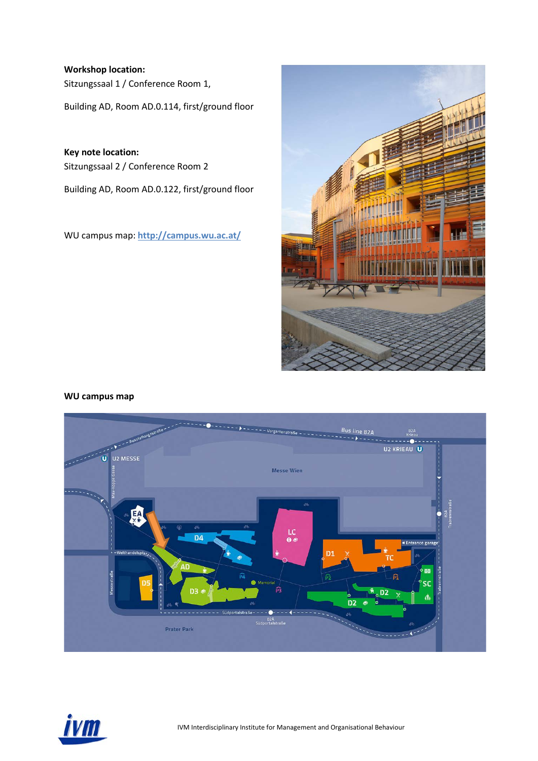**Workshop location:** Sitzungssaal 1 / Conference Room 1,

Building AD, Room AD.0.114, first/ground floor

**Key note location:**  Sitzungssaal 2 / Conference Room 2

Building AD, Room AD.0.122, first/ground floor

WU campus map: **<http://campus.wu.ac.at/>**



### **WU campus map**



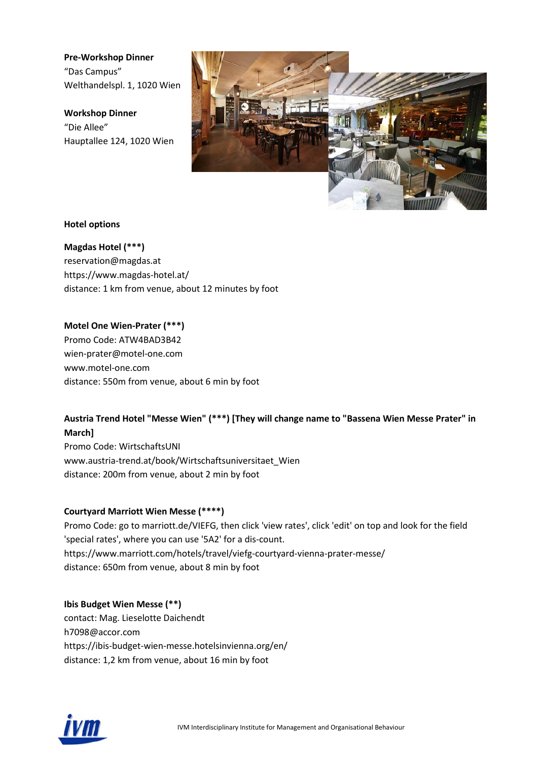**Pre-Workshop Dinner** "Das Campus" Welthandelspl. 1, 1020 Wien

**Workshop Dinner** "Die Allee" Hauptallee 124, 1020 Wien



### **Hotel options**

**Magdas Hotel (\*\*\*)** reservation@magdas.at https://www.magdas-hotel.at/ distance: 1 km from venue, about 12 minutes by foot

**Motel One Wien-Prater (\*\*\*)**  Promo Code: ATW4BAD3B42 wien-prater@motel-one.com www.motel-one.com distance: 550m from venue, about 6 min by foot

# **Austria Trend Hotel "Messe Wien" (\*\*\*) [They will change name to "Bassena Wien Messe Prater" in March]**

Promo Code: WirtschaftsUNI www.austria-trend.at/book/Wirtschaftsuniversitaet\_Wien distance: 200m from venue, about 2 min by foot

# **Courtyard Marriott Wien Messe (\*\*\*\*)**

Promo Code: go to marriott.de/VIEFG, then click 'view rates', click 'edit' on top and look for the field 'special rates', where you can use '5A2' for a dis-count. https://www.marriott.com/hotels/travel/viefg-courtyard-vienna-prater-messe/ distance: 650m from venue, about 8 min by foot

### **Ibis Budget Wien Messe (\*\*)**

contact: Mag. Lieselotte Daichendt h7098@accor.com https://ibis-budget-wien-messe.hotelsinvienna.org/en/ distance: 1,2 km from venue, about 16 min by foot